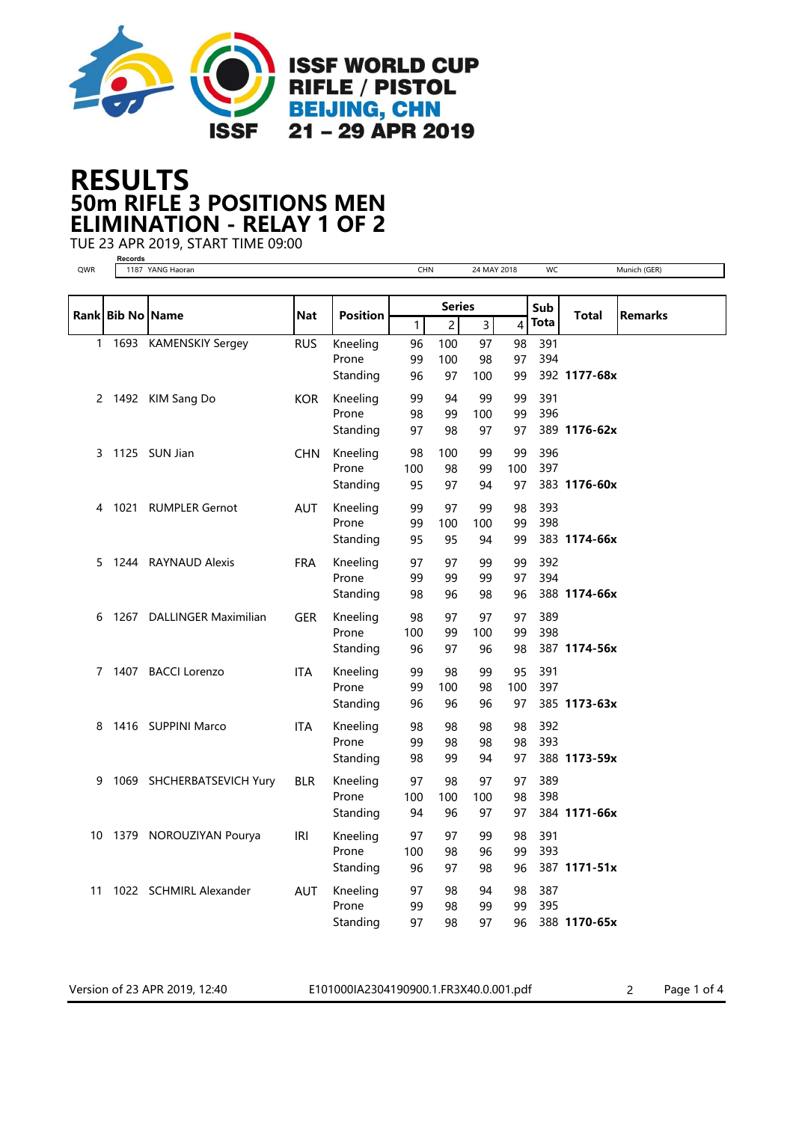

## 50m RIFLE 3 POSITIONS MEN RESULTS ELIMINATION - RELAY 1 OF 2

TUE 23 APR 2019, START TIME 09:00

Version of 23 APR 2019, 12:40 E101000IA2304190900.1.FR3X40.0.001.pdf 2 Page 1 of 4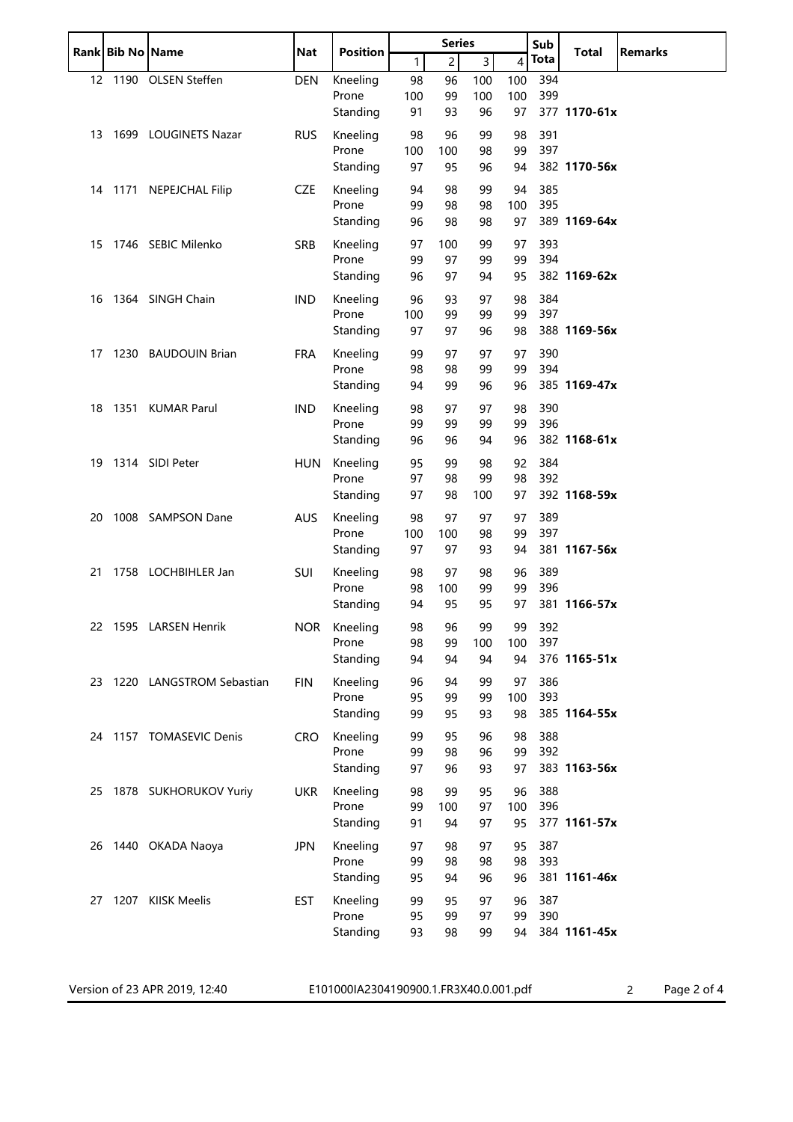|    | Rank Bib No Name |                             | <b>Nat</b> | <b>Position</b>   | <b>Series</b> |                |                |                | Sub<br><b>Total</b> |              | <b>Remarks</b> |
|----|------------------|-----------------------------|------------|-------------------|---------------|----------------|----------------|----------------|---------------------|--------------|----------------|
|    |                  |                             |            |                   | 1             | $\overline{c}$ | $\overline{3}$ | $\overline{4}$ | Tota                |              |                |
|    |                  | 12 1190 OLSEN Steffen       | <b>DEN</b> | Kneeling          | 98            | 96             | 100            | 100            | 394                 |              |                |
|    |                  |                             |            | Prone             | 100           | 99             | 100            | 100            | 399                 |              |                |
|    |                  |                             |            | Standing          | 91            | 93             | 96             | 97             |                     | 377 1170-61x |                |
| 13 |                  | 1699 LOUGINETS Nazar        | <b>RUS</b> | Kneeling          | 98            | 96             | 99             | 98             | 391                 |              |                |
|    |                  |                             |            | Prone             | 100           | 100            | 98             | 99             | 397                 |              |                |
|    |                  |                             |            | Standing          | 97            | 95             | 96             | 94             |                     | 382 1170-56x |                |
|    |                  | 14 1171 NEPEJCHAL Filip     | <b>CZE</b> | Kneeling          | 94            | 98             | 99             | 94             | 385                 |              |                |
|    |                  |                             |            | Prone             | 99            | 98             | 98             | 100            | 395                 |              |                |
|    |                  |                             |            | Standing          | 96            | 98             | 98             | 97             |                     | 389 1169-64x |                |
|    |                  | 15 1746 SEBIC Milenko       | <b>SRB</b> | Kneeling          | 97            | 100            | 99             | 97             | 393                 |              |                |
|    |                  |                             |            | Prone             | 99            | 97             | 99             | 99             | 394                 |              |                |
|    |                  |                             |            | Standing          | 96            | 97             | 94             | 95             |                     | 382 1169-62x |                |
| 16 |                  | 1364 SINGH Chain            | <b>IND</b> | Kneeling          | 96            | 93             | 97             | 98             | 384                 |              |                |
|    |                  |                             |            | Prone             | 100           | 99             | 99             | 99             | 397                 |              |                |
|    |                  |                             |            | Standing          | 97            | 97             | 96             | 98             |                     | 388 1169-56x |                |
| 17 |                  | 1230 BAUDOUIN Brian         | <b>FRA</b> | Kneeling          | 99            | 97             | 97             | 97             | 390                 |              |                |
|    |                  |                             |            | Prone             | 98            | 98             | 99             | 99             | 394                 |              |                |
|    |                  |                             |            | Standing          | 94            | 99             | 96             | 96             |                     | 385 1169-47x |                |
| 18 |                  | 1351 KUMAR Parul            | <b>IND</b> | Kneeling          | 98            | 97             | 97             | 98             | 390                 |              |                |
|    |                  |                             |            | Prone             | 99            | 99             | 99             | 99             | 396                 |              |                |
|    |                  |                             |            | Standing          | 96            | 96             | 94             | 96             |                     | 382 1168-61x |                |
| 19 |                  | 1314 SIDI Peter             | <b>HUN</b> | Kneeling          | 95            | 99             | 98             | 92             | 384                 |              |                |
|    |                  |                             |            | Prone             | 97            | 98             | 99             | 98             | 392                 |              |                |
|    |                  |                             |            | Standing          | 97            | 98             | 100            | 97             |                     | 392 1168-59x |                |
| 20 |                  | 1008 SAMPSON Dane           | <b>AUS</b> | Kneeling          | 98            | 97             | 97             | 97             | 389                 |              |                |
|    |                  |                             |            | Prone             | 100           | 100            | 98             | 99             | 397                 |              |                |
|    |                  |                             |            | Standing          | 97            | 97             | 93             | 94             |                     | 381 1167-56x |                |
| 21 |                  | 1758 LOCHBIHLER Jan         | <b>SUI</b> | Kneeling          | 98            | 97             | 98             | 96             | 389                 |              |                |
|    |                  |                             |            | Prone             | 98            | 100            | 99             | 99             | 396                 |              |                |
|    |                  |                             |            | Standing          | 94            | 95             | 95             | 97             |                     | 381 1166-57x |                |
|    |                  | 22 1595 LARSEN Henrik       |            | NOR Kneeling      | 98            | 96             | 99             | 99             | 392                 |              |                |
|    |                  |                             |            | Prone             | 98            | 99             | 100            | 100            | 397                 |              |                |
|    |                  |                             |            | Standing          | 94            | 94             | 94             | 94             |                     | 376 1165-51x |                |
|    |                  | 23 1220 LANGSTROM Sebastian |            | Kneeling          | 96            | 94             | 99             | 97             | 386                 |              |                |
|    |                  |                             | <b>FIN</b> | Prone             | 95            | 99             | 99             | 100            | 393                 |              |                |
|    |                  |                             |            | Standing          | 99            | 95             | 93             | 98             |                     | 385 1164-55x |                |
|    |                  | 24 1157 TOMASEVIC Denis     | <b>CRO</b> | Kneeling          | 99            | 95             | 96             | 98             | 388                 |              |                |
|    |                  |                             |            | Prone             | 99            | 98             | 96             | 99             | 392                 |              |                |
|    |                  |                             |            | Standing          | 97            | 96             | 93             | 97             |                     | 383 1163-56x |                |
|    |                  |                             |            |                   |               |                |                |                |                     |              |                |
|    |                  | 25 1878 SUKHORUKOV Yuriy    | <b>UKR</b> | Kneeling<br>Prone | 98<br>99      | 99<br>100      | 95<br>97       | 96<br>100      | 388<br>396          |              |                |
|    |                  |                             |            | Standing          | 91            | 94             | 97             | 95             |                     | 377 1161-57x |                |
|    |                  |                             |            |                   |               |                |                |                |                     |              |                |
|    |                  | 26 1440 OKADA Naoya         | <b>JPN</b> | Kneeling<br>Prone | 97<br>99      | 98<br>98       | 97<br>98       | 95<br>98       | 387<br>393          |              |                |
|    |                  |                             |            | Standing          | 95            | 94             | 96             | 96             |                     | 381 1161-46x |                |
|    |                  |                             |            |                   |               |                |                |                |                     |              |                |
|    |                  | 27 1207 KIISK Meelis        | <b>EST</b> | Kneeling<br>Prone | 99            | 95<br>99       | 97             | 96             | 387<br>390          |              |                |
|    |                  |                             |            | Standing          | 95<br>93      | 98             | 97<br>99       | 99<br>94       |                     | 384 1161-45x |                |
|    |                  |                             |            |                   |               |                |                |                |                     |              |                |
|    |                  |                             |            |                   |               |                |                |                |                     |              |                |

Version of 23 APR 2019, 12:40 E101000IA2304190900.1.FR3X40.0.001.pdf 2 Page 2 of 4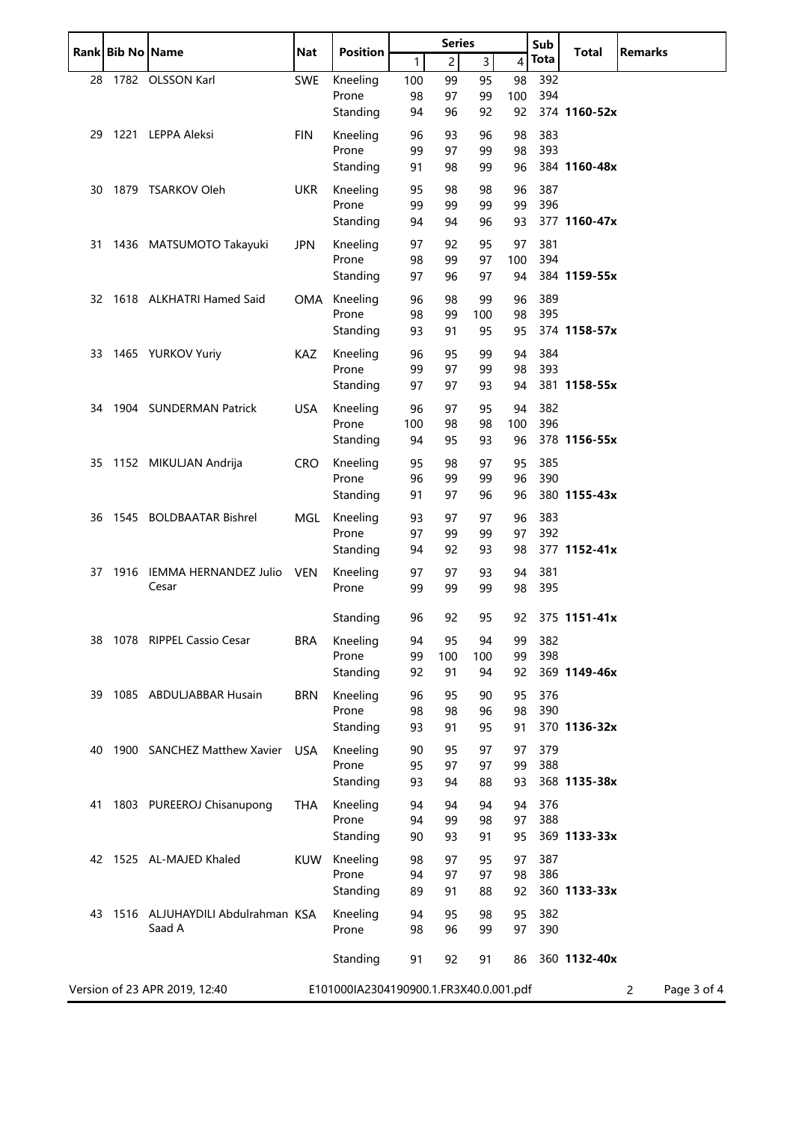|    | Rank Bib No Name |                                               | <b>Series</b><br><b>Nat</b><br><b>Position</b> |                                        | Sub      |                | <b>Total</b>   | <b>Remarks</b> |            |              |                  |
|----|------------------|-----------------------------------------------|------------------------------------------------|----------------------------------------|----------|----------------|----------------|----------------|------------|--------------|------------------|
|    |                  |                                               |                                                |                                        | 1        | $\overline{c}$ | $\overline{3}$ | 4              | Tota       |              |                  |
| 28 |                  | 1782 OLSSON Karl                              | <b>SWE</b>                                     | Kneeling                               | 100      | 99             | 95             | 98             | 392        |              |                  |
|    |                  |                                               |                                                | Prone                                  | 98       | 97             | 99             | 100            | 394        |              |                  |
|    |                  |                                               |                                                | Standing                               | 94       | 96             | 92             | 92             |            | 374 1160-52x |                  |
| 29 |                  | 1221 LEPPA Aleksi                             | FIN                                            | Kneeling                               | 96       | 93             | 96             | 98             | 383        |              |                  |
|    |                  |                                               |                                                | Prone                                  | 99       | 97             | 99             | 98             | 393        |              |                  |
|    |                  |                                               |                                                | Standing                               | 91       | 98             | 99             | 96             |            | 384 1160-48x |                  |
| 30 |                  | 1879 TSARKOV Oleh                             | <b>UKR</b>                                     | Kneeling                               | 95       | 98             | 98             | 96             | 387        |              |                  |
|    |                  |                                               |                                                | Prone                                  | 99       | 99             | 99             | 99             | 396        |              |                  |
|    |                  |                                               |                                                | Standing                               | 94       | 94             | 96             | 93             |            | 377 1160-47x |                  |
| 31 |                  | 1436 MATSUMOTO Takayuki                       | <b>JPN</b>                                     | Kneeling                               | 97       | 92             | 95             | 97             | 381        |              |                  |
|    |                  |                                               |                                                | Prone                                  | 98       | 99             | 97             | 100            | 394        |              |                  |
|    |                  |                                               |                                                | Standing                               | 97       | 96             | 97             | 94             |            | 384 1159-55x |                  |
|    |                  | 32 1618 ALKHATRI Hamed Said                   |                                                | OMA Kneeling                           | 96       | 98             | 99             | 96             | 389        |              |                  |
|    |                  |                                               |                                                | Prone                                  | 98       | 99             | 100            | 98             | 395        |              |                  |
|    |                  |                                               |                                                | Standing                               | 93       | 91             | 95             | 95             |            | 374 1158-57x |                  |
|    |                  | 33 1465 YURKOV Yuriy                          | KAZ                                            | Kneeling                               | 96       | 95             | 99             | 94             | 384        |              |                  |
|    |                  |                                               |                                                | Prone                                  | 99       | 97             | 99             | 98             | 393        |              |                  |
|    |                  |                                               |                                                | Standing                               | 97       | 97             | 93             | 94             |            | 381 1158-55x |                  |
| 34 |                  | 1904 SUNDERMAN Patrick                        | <b>USA</b>                                     | Kneeling                               | 96       | 97             | 95             | 94             | 382        |              |                  |
|    |                  |                                               |                                                | Prone                                  | 100      | 98             | 98             | 100            | 396        |              |                  |
|    |                  |                                               |                                                | Standing                               | 94       | 95             | 93             | 96             |            | 378 1156-55x |                  |
|    |                  |                                               |                                                |                                        |          |                |                |                | 385        |              |                  |
| 35 |                  | 1152 MIKULJAN Andrija                         | <b>CRO</b>                                     | Kneeling<br>Prone                      | 95<br>96 | 98<br>99       | 97<br>99       | 95<br>96       | 390        |              |                  |
|    |                  |                                               |                                                | Standing                               | 91       | 97             | 96             | 96             |            | 380 1155-43x |                  |
|    |                  |                                               |                                                |                                        |          |                |                |                |            |              |                  |
| 36 |                  | 1545 BOLDBAATAR Bishrel                       | MGL                                            | Kneeling<br>Prone                      | 93<br>97 | 97<br>99       | 97<br>99       | 96<br>97       | 383<br>392 |              |                  |
|    |                  |                                               |                                                | Standing                               | 94       | 92             | 93             | 98             |            | 377 1152-41x |                  |
|    |                  |                                               |                                                |                                        |          |                |                |                |            |              |                  |
| 37 | 1916             | IEMMA HERNANDEZ Julio<br>Cesar                | <b>VEN</b>                                     | Kneeling<br>Prone                      | 97<br>99 | 97<br>99       | 93<br>99       | 94<br>98       | 381<br>395 |              |                  |
|    |                  |                                               |                                                |                                        |          |                |                |                |            |              |                  |
|    |                  |                                               |                                                | Standing                               | 96       | 92             | 95             | 92             |            | 375 1151-41x |                  |
| 38 |                  | 1078 RIPPEL Cassio Cesar                      | <b>BRA</b>                                     | Kneeling                               | 94       | 95             | 94             | 99             | 382        |              |                  |
|    |                  |                                               |                                                | Prone                                  | 99       | 100            | 100            | 99             | 398        |              |                  |
|    |                  |                                               |                                                | Standing                               | 92       | 91             | 94             | 92             |            | 369 1149-46x |                  |
| 39 |                  | 1085 ABDULJABBAR Husain                       | <b>BRN</b>                                     | Kneeling                               | 96       | 95             | 90             | 95             | 376        |              |                  |
|    |                  |                                               |                                                | Prone                                  | 98       | 98             | 96             | 98             | 390        |              |                  |
|    |                  |                                               |                                                | Standing                               | 93       | 91             | 95             | 91             |            | 370 1136-32x |                  |
| 40 |                  | 1900 SANCHEZ Matthew Xavier                   | <b>USA</b>                                     | Kneeling                               | 90       | 95             | 97             | 97             | 379        |              |                  |
|    |                  |                                               |                                                | Prone                                  | 95       | 97             | 97             | 99             | 388        |              |                  |
|    |                  |                                               |                                                | Standing                               | 93       | 94             | 88             | 93             |            | 368 1135-38x |                  |
|    |                  |                                               |                                                |                                        | 94       |                |                |                | 376        |              |                  |
| 41 |                  | 1803 PUREEROJ Chisanupong                     | THA                                            | Kneeling<br>Prone                      | 94       | 94<br>99       | 94<br>98       | 94<br>97       | 388        |              |                  |
|    |                  |                                               |                                                | Standing                               | 90       | 93             | 91             | 95             |            | 369 1133-33x |                  |
|    |                  |                                               |                                                |                                        |          |                |                |                |            |              |                  |
|    |                  | 42 1525 AL-MAJED Khaled                       | <b>KUW</b>                                     | Kneeling<br>Prone                      | 98<br>94 | 97<br>97       | 95<br>97       | 97<br>98       | 387<br>386 |              |                  |
|    |                  |                                               |                                                | Standing                               | 89       | 91             | 88             | 92             |            | 360 1133-33x |                  |
|    |                  |                                               |                                                |                                        |          |                |                |                |            |              |                  |
|    |                  | 43 1516 ALJUHAYDILI Abdulrahman KSA<br>Saad A |                                                | Kneeling                               | 94       | 95             | 98             | 95             | 382        |              |                  |
|    |                  |                                               |                                                | Prone                                  | 98       | 96             | 99             | 97             | 390        |              |                  |
|    |                  |                                               |                                                | Standing                               | 91       | 92             | 91             | 86             |            | 360 1132-40x |                  |
|    |                  |                                               |                                                |                                        |          |                |                |                |            |              |                  |
|    |                  | Version of 23 APR 2019, 12:40                 |                                                | E101000IA2304190900.1.FR3X40.0.001.pdf |          |                |                |                |            |              | Page 3 of 4<br>2 |